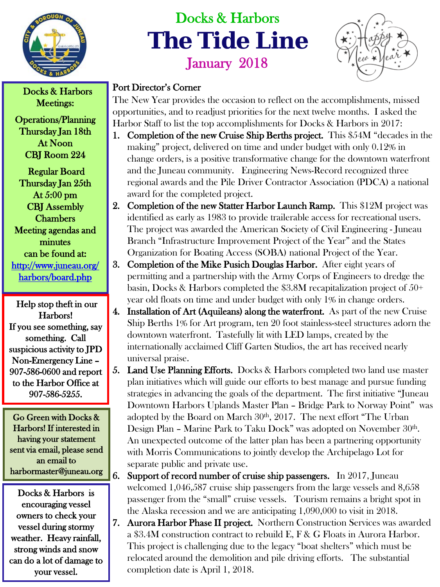

## Docks & Harbors **The Tide Line** January 2018



## Docks & Harbors Port Director's Corner

The New Year provides the occasion to reflect on the accomplishments, missed opportunities, and to readjust priorities for the next twelve months. I asked the Harbor Staff to list the top accomplishments for Docks & Harbors in 2017:

- 1. Completion of the new Cruise Ship Berths project. This \$54M "decades in the making" project, delivered on time and under budget with only 0.12% in change orders, is a positive transformative change for the downtown waterfront and the Juneau community. Engineering News-Record recognized three regional awards and the Pile Driver Contractor Association (PDCA) a national award for the completed project.
- 2. Completion of the new Statter Harbor Launch Ramp. This \$12M project was identified as early as 1983 to provide trailerable access for recreational users. The project was awarded the American Society of Civil Engineering - Juneau Branch "Infrastructure Improvement Project of the Year" and the States Organization for Boating Access (SOBA) national Project of the Year.
- 3. Completion of the Mike Pusich Douglas Harbor. After eight years of permitting and a partnership with the Army Corps of Engineers to dredge the basin, Docks & Harbors completed the \$3.8M recapitalization project of 50+ year old floats on time and under budget with only 1% in change orders.
- 4. Installation of Art (Aquileans) along the waterfront. As part of the new Cruise Ship Berths 1% for Art program, ten 20 foot stainless-steel structures adorn the downtown waterfront. Tastefully lit with LED lamps, created by the internationally acclaimed Cliff Garten Studios, the art has received nearly universal praise.
- 5. Land Use Planning Efforts. Docks & Harbors completed two land use master plan initiatives which will guide our efforts to best manage and pursue funding strategies in advancing the goals of the department. The first initiative "Juneau Downtown Harbors Uplands Master Plan – Bridge Park to Norway Point" was adopted by the Board on March 30<sup>th</sup>, 2017. The next effort "The Urban Design Plan - Marine Park to Taku Dock" was adopted on November 30<sup>th</sup>. An unexpected outcome of the latter plan has been a partnering opportunity with Morris Communications to jointly develop the Archipelago Lot for separate public and private use.
- 6. Support of record number of cruise ship passengers. In 2017, Juneau welcomed 1,046,587 cruise ship passengers from the large vessels and 8,658 passenger from the "small" cruise vessels. Tourism remains a bright spot in the Alaska recession and we are anticipating 1,090,000 to visit in 2018.
- 7. Aurora Harbor Phase II project. Northern Construction Services was awarded a \$3.4M construction contract to rebuild E, F & G Floats in Aurora Harbor. This project is challenging due to the legacy "boat shelters" which must be relocated around the demolition and pile driving efforts. The substantial completion date is April 1, 2018.

Meetings:

Operations/Planning Thursday Jan 18th At Noon CBJ Room 224

 Regular Board Thursday Jan 25th At 5:00 pm CBJ Assembly **Chambers** Meeting agendas and minutes can be found at: [http://www.juneau.org/](http://www.juneau.org/harbors/board.php)  [harbors/board.php](http://www.juneau.org/harbors/board.php) 

 Help stop theft in our Harbors! If you see something, say something. Call suspicious activity to JPD Non-Emergency Line – 907-586-0600 and report to the Harbor Office at 907-586-5255.

Go Green with Docks & Harbors! If interested in having your statement sent via email, please send an email to harbormaster@juneau.org

Docks & Harbors is encouraging vessel owners to check your vessel during stormy weather. Heavy rainfall, strong winds and snow can do a lot of damage to your vessel.